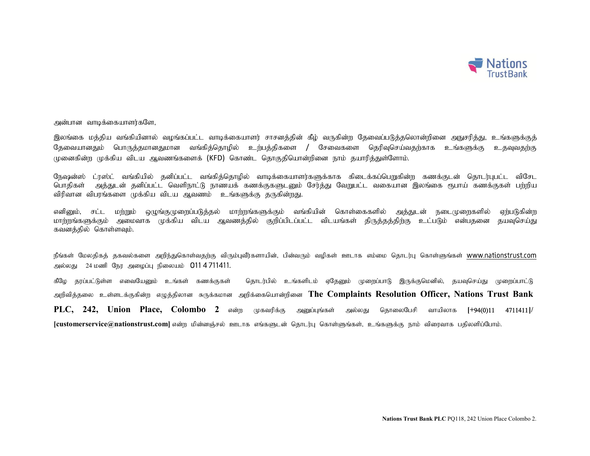

அன்பான வாடிக்கையாளர்களே,

இலங்கை மத்திய வங்கியினால் வழங்கப்பட்ட வாடிக்கையாளர் சாசனத்தின் கீழ் வருகின்ற தேவைப்படுத்தலொன்றினை அநுசரித்து, உங்களுக்குத் தேவையானதும் பொருத்தமானதுமான வங்கித்தொழில் உர்பத்திகளை / சேவைகளை தெரிவுசெய்வதற்காக உங்களுக்கு உதவுவதற்கு முனைகின்ற முக்கிய விடய ஆவணங்களைக் (KFD) கொண்ட தொகுதியொன்றினை நாம் தயாரித்துள்ளோம்.

நேஷன்ஸ் ட்ரஸ்ட் வங்கியில் தனிப்பட்ட வங்கித்தொழில் வாடிக்கையாளர்களுக்காக கிடைக்கப்பெறுகின்ற கணக்குடன் தொடர்புபட்ட விசேட பொதிகள் அத்துடன் தனிப்பட்ட வெளிநாட்டு நாணயக் கணக்குகளுடனும் சேர்த்து வேறுபட்ட வகையான இலங்கை ரூபாய் கணக்குகள் பற்றிய விரிவான விபரங்களை முக்கிய விடய ஆவணம் உங்களுக்கு தருகின்றது.

எனினும், சட்ட மற்றும் ஒழுங்குமுறைப்படுத்தல் மாற்றங்களுக்கும் வங்கியின் கொள்கைகளில் அத்துடன் நடைமுறைகளில் ஏற்படுகின்ற மாற்றங்களுக்கும் அமைவாக முக்கிய விடய ஆவணத்தில் குறிப்பிடப்பட்ட விடயங்கள் திருத்தத்திற்கு உட்படும் என்பதனை தயவுசெய்து கவனத்தில் கொள்ளவும்.

நீங்கள் மேலதிகத் தகவல்களை அறிந்துகொள்வதற்கு விரும்புவீர்களாயின், பின்வரும் வழிகள் ஊடாக எம்மை தொடர்பு கொள்ளுங்கள் www.nationstrust.com அல்லது 24 மணி நேர அழைப்பு நிலையம் 011 4 711411.

கீழே தரப்பட்டுள்ள எவையேனும் உங்கள் கணக்குகள் தொடர்பில் உங்களிடம் ஏதேனும் முறைப்பாடு இருக்குமெனில், தயவுசெய்து முறைப்பாட்டு அறிவித்தலை உள்ளடக்குகின்ற எழுத்திலான சுருக்கமான அறிக்கையொன்றினை The Complaints Resolution Officer, Nations Trust Bank  $PLC$ , 242, Union Place, Colombo 2 என்ற முகவரிக்கு அனுப்பங்கள் அல்லது கொலைபேசி வாயிலாக [+94(0)11 4711411]/  $[{\rm{custom}}$ ervice $@$ nationstrust.com $]$  என்ற மின்னஞ்சல் ஊடாக எங்களுடன் தொடர்பு கொள்ளுங்கள், உங்களுக்கு நாம் விரைவாக பதிலளிப்போம்.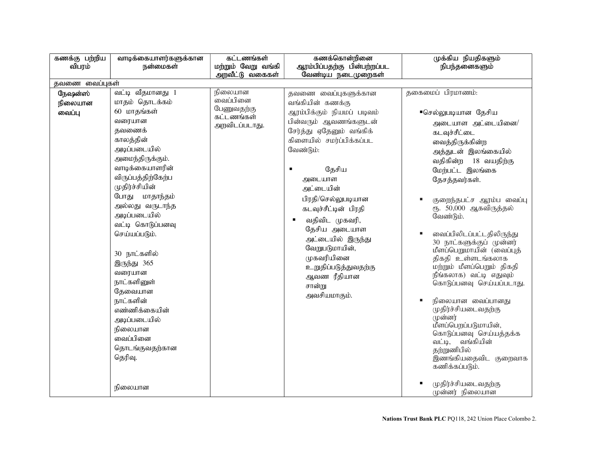| கணக்கு பற்றிய<br>விபரம்      | வாடிக்கையாளர்களுக்கான<br>நன்மைகள்                                                                                                                                                                                                                                                                                                                                                                                                                           | கட்டணங்கள்<br>மற்றும் வேறு வங்கி<br>அறவீட்டு வகைகள்                   | கணக்கொன்றினை<br>ஆரம்பிப்பதற்கு பின்பற்றப்பட<br>வேண்டிய நடைமுறைகள்                                                                                                                                                                                                                                                                                                                                         | முக்கிய நியதிகளும்<br>நிபந்தனைகளும்                                                                                                                                                                                                                                                                                                                                                                                                                                                                                                                                                                                                                                |  |  |  |  |
|------------------------------|-------------------------------------------------------------------------------------------------------------------------------------------------------------------------------------------------------------------------------------------------------------------------------------------------------------------------------------------------------------------------------------------------------------------------------------------------------------|-----------------------------------------------------------------------|-----------------------------------------------------------------------------------------------------------------------------------------------------------------------------------------------------------------------------------------------------------------------------------------------------------------------------------------------------------------------------------------------------------|--------------------------------------------------------------------------------------------------------------------------------------------------------------------------------------------------------------------------------------------------------------------------------------------------------------------------------------------------------------------------------------------------------------------------------------------------------------------------------------------------------------------------------------------------------------------------------------------------------------------------------------------------------------------|--|--|--|--|
| தவணை வைப்புகள்               |                                                                                                                                                                                                                                                                                                                                                                                                                                                             |                                                                       |                                                                                                                                                                                                                                                                                                                                                                                                           |                                                                                                                                                                                                                                                                                                                                                                                                                                                                                                                                                                                                                                                                    |  |  |  |  |
| நேஷன்ஸ்<br>நிலையான<br>வைப்பு | வட்டி வீதமானது 1<br>மாதம் தொடக்கம்<br>60 மாதங்கள்<br>வரையான<br>தவணைக்<br>காலத்தின்<br>அடிப்படையில்<br>அமைந்திருக்கும்.<br>வாடிக்கையாளரின்<br>விருப்பத்திற்கேற்ப<br>முதிர்ச்சியின்<br>போது மாதாந்தம்<br>அல்லது வருடாந்த<br>அடிப்படையில்<br>வட்டி கொடுப்பனவு<br>செய்யப்படும்.<br>30 நாட்களில்<br>இருந்து 365<br>வரையான<br>நாட்களினுள்<br>தேவையான<br>நாட்களின்<br>எண்ணிக்கையின்<br>அடிப்படையில்<br>நிலையான<br>வைப்பினை<br>தொடங்குவதற்கான<br>தெரிவு.<br>நிலையான | நிலையான<br>.<br>வைப்பினை<br>பேணுவதற்கு<br>கட்டணங்கள்<br>அறவிடப்படாது. | தவணை வைப்புகளுக்கான<br>வங்கியின் கணக்கு<br>ஆரம்பிக்கும் நியமப் படிவம்<br>பின்வரும் ஆவணங்களுடன்<br>சேர்த்து ஏதேனும் வங்கிக்<br>கிளையில் சமர்ப்பிக்கப்பட<br>வேண்டும்:<br>தேசிய<br>அடையாள<br>அட்டையின்<br>பிரதி/செல்லுபடியான<br>கடவுச்சீட்டின் பிரதி<br>வதிவிட முகவரி,<br>தேசிய அடையாள<br>அட்டையில் இருந்து<br>வேறுபடுமாயின்,<br>முகவரியினை<br>உறுதிப்படுத்துவதற்கு<br>ஆவண ரீதியான<br>சான்று<br>அவசியமாகும். | தகைமைப் பிரமாணம்:<br>■செல்லுபடியான தேசிய<br>அடையாள அட்டையினை/<br>க∟வுச்சீட்டை<br>வைத்திருக்கின்ற<br>அத்துடன் இலங்கையில்<br>வதிகின்ற 18 வயதிற்கு<br>மேற்பட்ட இலங்கை<br>தேசத்தவர்கள்.<br>குறைந்தபட்ச ஆரம்ப வைப்பு<br>ரூ. 50,000 ஆகவிருத்தல்<br>வேண்டும்.<br>வைப்பிலிடப்பட்டதிலிருந்து<br>30 நாட்களுக்குப் முன்னர்<br>மீளப்பெறுமாயின் (வைப்புத்<br>திகதி உள்ளடங்கலாக<br>மற்றும் மீளப்பெறும் திகதி<br>நீங்கலாக) வட்டி எதுவும்<br>கொடுப்பனவு செய்யப்படாது.<br>நிலையான வைப்பானது<br>முதிர்ச்சியடைவதற்கு<br>முன்னர்<br>மீளப்பெறப்படுமாயின்,<br>கொடுப்பனவு செய்யத்தக்க<br>வட்டி, வங்கியின்<br>தற்றுணிபில்<br>இணங்கியதைவிட குறைவாக<br>கணிக்கப்படும்.<br>முதிர்ச்சியடைவதற்கு |  |  |  |  |
|                              |                                                                                                                                                                                                                                                                                                                                                                                                                                                             |                                                                       |                                                                                                                                                                                                                                                                                                                                                                                                           | முன்னர் நிலையான                                                                                                                                                                                                                                                                                                                                                                                                                                                                                                                                                                                                                                                    |  |  |  |  |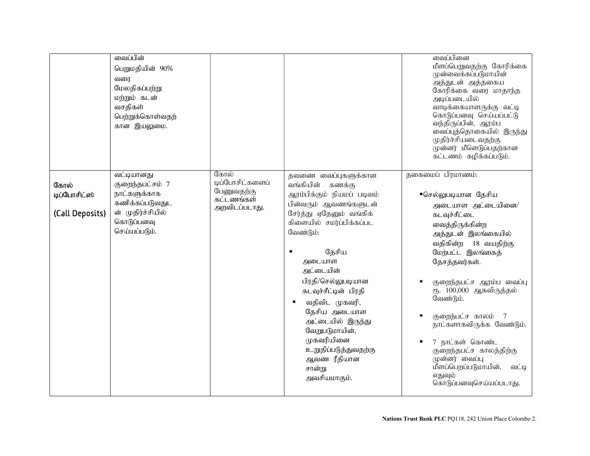|                                         | வைப்பின்<br>பெறுமதியின் 90%<br>வரை<br>மேலதிகப்பற்று<br>மற்றும் கடன்<br>வசதிகள்<br>பெற்றுக்கொள்வதற்<br>கான இயலுமை.    |                                                                      |                                                                                                                                                                                                                                                                                                                                                                                                           | வைப்பினை<br>மீளப்பெறுவதற்கு கோரிக்கை<br>முன்வைக்கப்படுமாயின்<br>அத்துடன் அத்தகைய<br>கோரிக்கை வரை மாதாந்த<br>அடிப்படையில்<br>வாடிக்கையாளருக்கு வட்டி<br>கொடுப்பனவு செய்யப்பட்டு<br>வந்திருப்பின், ஆரம்ப<br>வைப்புத்தொகையில் இருந்து<br>முதிர்ச்சியடைவதற்கு<br>முன்னர் மீளெடுப்பதற்கான<br>கட்டணம் கழிக்கப்படும்.                                                                                                                                         |
|-----------------------------------------|----------------------------------------------------------------------------------------------------------------------|----------------------------------------------------------------------|-----------------------------------------------------------------------------------------------------------------------------------------------------------------------------------------------------------------------------------------------------------------------------------------------------------------------------------------------------------------------------------------------------------|--------------------------------------------------------------------------------------------------------------------------------------------------------------------------------------------------------------------------------------------------------------------------------------------------------------------------------------------------------------------------------------------------------------------------------------------------------|
| கோல்<br>டிப்போசிட்ஸ்<br>(Call Deposits) | வட்டியானது<br>குறைந்தபட்சம் 7<br>நாட்களுக்காக<br>கணிக்கப்படுவதுட<br>ன் முதிர்ச்சியில்<br>கொடுப்பனவு<br>செய்யப்படும். | கோல்<br>டிப்போசிட்களைப்<br>பேணுவதற்கு<br>கட்டணங்கள்<br>அறவிடப்படாது. | தவணை வைப்புகளுக்கான<br>வங்கியின் கணக்கு<br>ஆரம்பிக்கும் நியமப் படிவம்<br>பின்வரும் ஆவணங்களுடன்<br>சேர்த்து ஏதேனும் வங்கிக்<br>கிளையில் சமர்ப்பிக்கப்பட<br>வேண்டும்:<br>தேசிய<br>அடையாள<br>அட்டையின்<br>பிரதி/செல்லுபடியான<br>கடவுச்சீட்டின் பிரதி<br>வதிவிட முகவரி,<br>தேசிய அடையாள<br>அட்டையில் இருந்து<br>வேறுபடுமாயின்,<br>முகவரியினை<br>உறுதிப்படுத்துவதற்கு<br>ஆவண ரீதியான<br>சான்று<br>அவசியமாகும். | தகைமைப் பிரமாணம்:<br>■செல்லுபடியான தேசிய<br>அடையாள அட்டையினை/<br>க∟வுச்சீட்டை<br>வைத்திருக்கின்ற<br>அத்துடன் இலங்கையில்<br>வதிகின்ற<br>18 வயதிற்கு<br>மேற்பட்ட இலங்கைத்<br>தேசத்தவர்கள்.<br>குறைந்தபட்ச ஆரம்ப வைப்பு<br>ரூ. 100,000 ஆகவிருத்தல்<br>வேண்டும்.<br>குறைந்பட்ச காலம் 7<br>நாட்களாகவிருக்க வேண்டும்.<br>7 நாட்கள் கொண்ட<br>குறைந்தபட்ச காலத்திற்கு<br>முன்னர் வைப்பு<br>மீளப்பெறப்படுமாயின்,<br>வட்டி<br>எதுவும்<br>கொடுப்பனவுசெய்யப்படாது. |